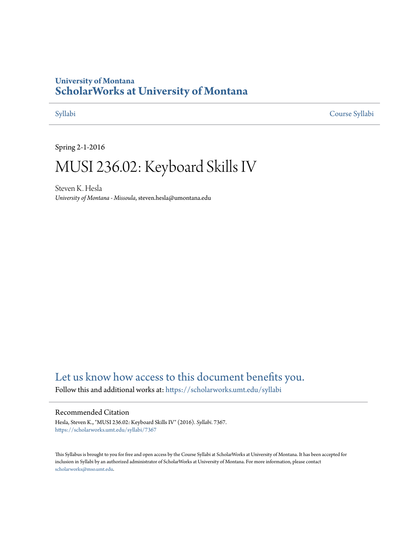## **University of Montana [ScholarWorks at University of Montana](https://scholarworks.umt.edu?utm_source=scholarworks.umt.edu%2Fsyllabi%2F7367&utm_medium=PDF&utm_campaign=PDFCoverPages)**

[Syllabi](https://scholarworks.umt.edu/syllabi?utm_source=scholarworks.umt.edu%2Fsyllabi%2F7367&utm_medium=PDF&utm_campaign=PDFCoverPages) [Course Syllabi](https://scholarworks.umt.edu/course_syllabi?utm_source=scholarworks.umt.edu%2Fsyllabi%2F7367&utm_medium=PDF&utm_campaign=PDFCoverPages)

Spring 2-1-2016

# MUSI 236.02: Keyboard Skills IV

Steven K. Hesla *University of Montana - Missoula*, steven.hesla@umontana.edu

## [Let us know how access to this document benefits you.](https://goo.gl/forms/s2rGfXOLzz71qgsB2)

Follow this and additional works at: [https://scholarworks.umt.edu/syllabi](https://scholarworks.umt.edu/syllabi?utm_source=scholarworks.umt.edu%2Fsyllabi%2F7367&utm_medium=PDF&utm_campaign=PDFCoverPages)

### Recommended Citation

Hesla, Steven K., "MUSI 236.02: Keyboard Skills IV" (2016). *Syllabi*. 7367. [https://scholarworks.umt.edu/syllabi/7367](https://scholarworks.umt.edu/syllabi/7367?utm_source=scholarworks.umt.edu%2Fsyllabi%2F7367&utm_medium=PDF&utm_campaign=PDFCoverPages)

This Syllabus is brought to you for free and open access by the Course Syllabi at ScholarWorks at University of Montana. It has been accepted for inclusion in Syllabi by an authorized administrator of ScholarWorks at University of Montana. For more information, please contact [scholarworks@mso.umt.edu](mailto:scholarworks@mso.umt.edu).